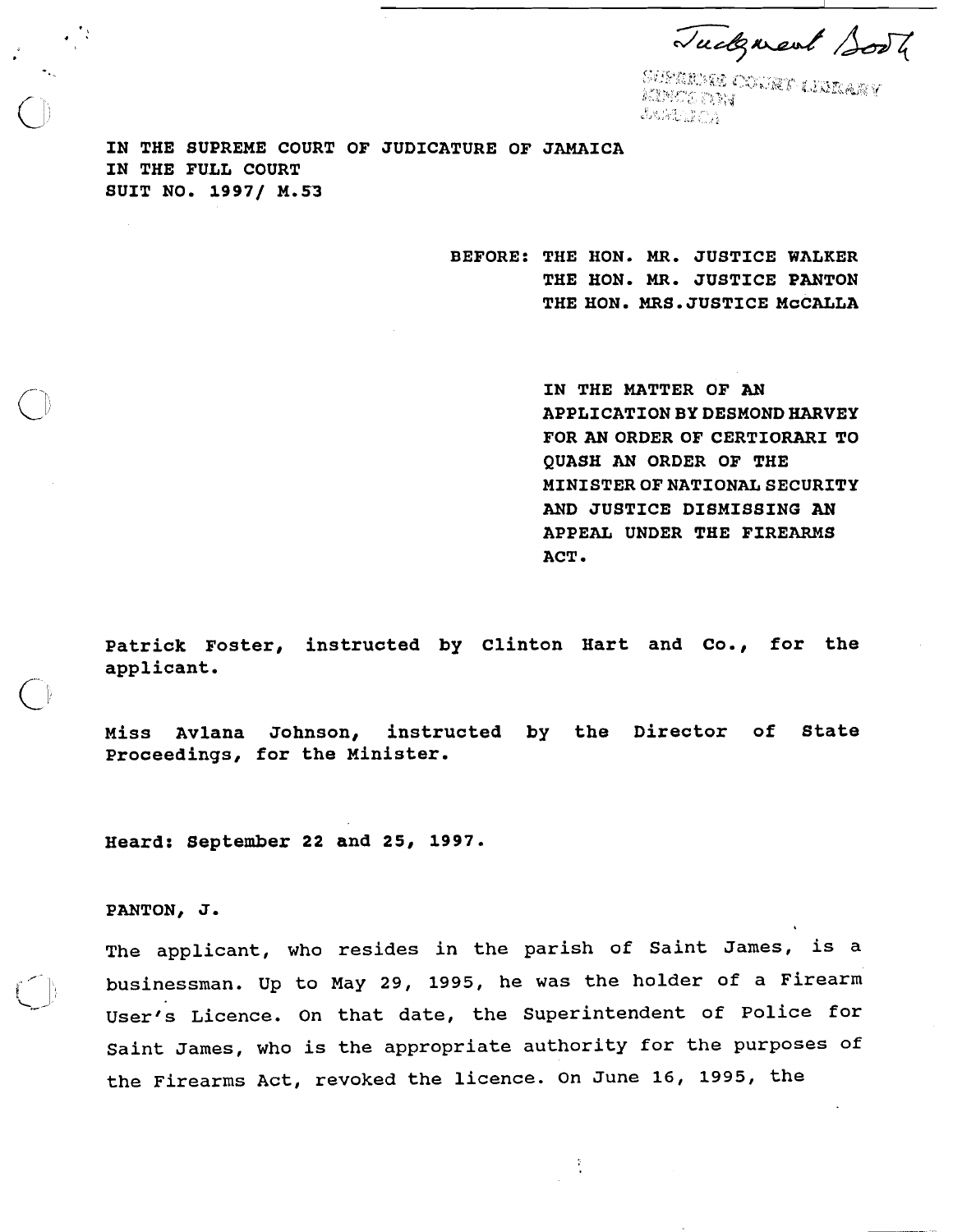Tudgment Sooth

.<br>SUSTANIA COVARY LIBRARY MANGETTY JARTHURS 2

**IN THE SUPREME COURT OF JUDICATURE OF JAMAICA IN THE FULL COURT SUIT NO. 19971 M.53** 

> **BEFORE: THE HON. MR. JUSTICE WALKER THE HON. MR. JUSTICE PANTON**  THE HON. MRS. JUSTICE MCCALLA

> > **IN THE MATTER OF AN APPLICATION BY DESMOND HARVEY FOR AN ORDER OF CERTIORARI TO QUASH AN ORDER OF THE MINISTEROFNATIONALSECURITY AND JUSTICE DISMISSING AN APPEAL UNDER THE FIREARMS ACT**

Patrick Foster, instructed by Clinton Hart and Co., for the **applicant.** 

**Miss Avlana Johnson, instructed by the Director of State Proceedings, for the Minister.** 

**Heard: September 22 and 25, 1997.** 

**PANTON, J.** 

/. ,

The applicant, who resides in the parish of Saint James, is a businessman. Up to May 29, 1995, he was the holder of a Firearm  $\bigcup$ User's Licence. On that date, the Superintendent of Police for Saint James, who is the appropriate authority for the purposes of the Firearms Act, revoked the licence. On June 16, 1995, the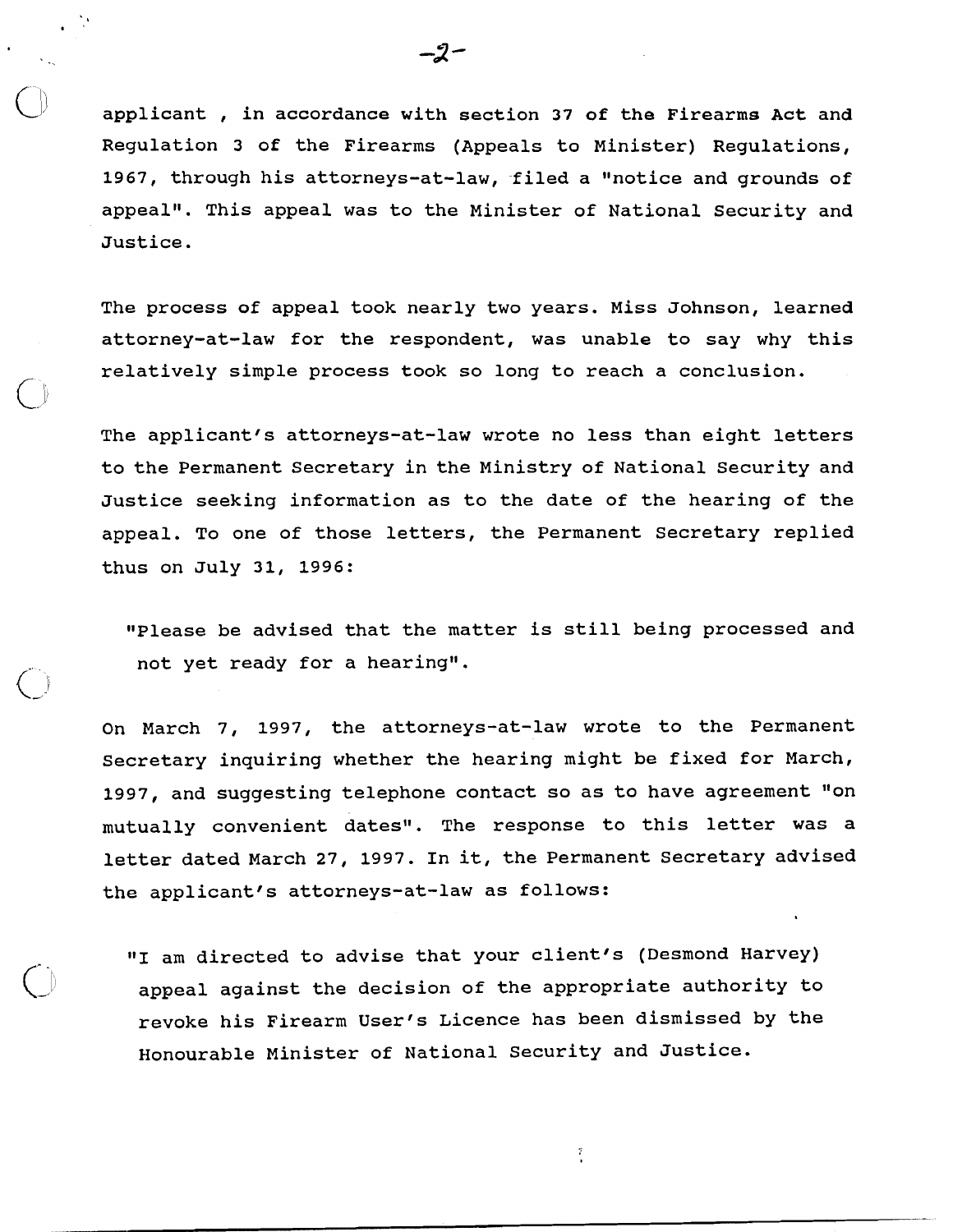applicant, in accordance with section 37 of the Firearms Act and Regulation 3 of the Firearms (Appeals to Minister) Regulations, 1967, through his attorneys-at-law, filed a "notice and grounds of appeal". This appeal was to the Minister of National Security and Justice.

The process of appeal took nearly two years. Miss Johnson, learned attorney-at-law for the respondent, was unable to say why this relatively simple process took so long to reach a conclusion.

The applicant's attorneys-at-law wrote no less than eight letters to the Permanent Secretary in the Ministry of National Security and Justice seeking information as to the date of the hearing of the appeal. To one of those letters, the Permanent Secretary replied thus on July 31, 1996:

"Please be advised that the matter is still being processed and not yet ready for a hearing".

 $\mathbf{C}$ 

On March 7, 1997, the attorneys-at-law wrote to the Permanent Secretary inquiring whether the hearing might be fixed for March, 1997, and suggesting telephone contact so as to have agreement "on mutually convenient dates". The response to this letter was a letter dated March 27, 1997. In it, the Permanent Secretary advised the applicant's attorneys-at-law as follows:

"1 am directed to advise that your client's (Desmond Harvey) appeal against the decision of the appropriate authority to revoke his Firearm User's Licence has been dismissed by the Honourable Minister of National Security and Justice.

 $\frac{2}{3}$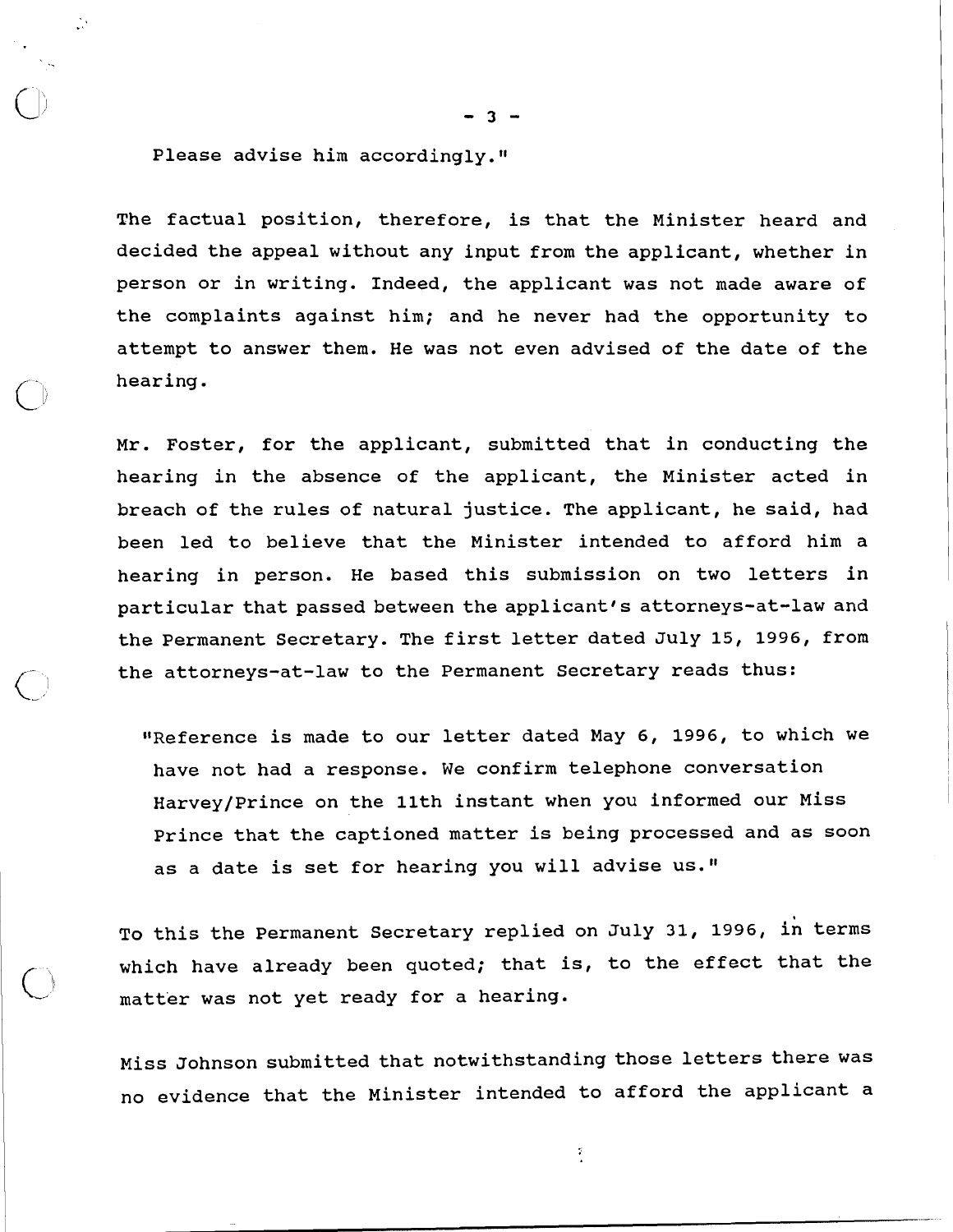Please advise him accordingly."

The factual position, therefore, is that the Minister heard and decided the appeal without any input from the applicant, whether in person or in writing. Indeed, the applicant was not made aware of the complaints against him; and he never had the opportunity to attempt to answer them. He was not even advised of the date of the hearing.

Mr. Foster, for the applicant, submitted that in conducting the hearing in the absence of the applicant, the Minister acted in breach of the rules of natural justice. The applicant, he said, had been led to believe that the Minister intended to afford him a hearing in person. He based this submission on two letters in particular that passed between the applicant's attorneys-at-law and the Permanent Secretary. The first letter dated July 15, 1996, from the attorneys-at-law to the Permanent Secretary reads thus:

"Reference is made to our letter dated May 6, 1996, to which we have not had a response. We confirm telephone conversation Harvey/Prince on the 11th instant when you informed our Miss Prince that the captioned matter is being processed and as soon as a date is set for hearing you will advise us."

TO this the Permanent Secretary replied on July 31, 1996, in terms which have already been quoted; that is, to the effect that the matter was not yet ready for a hearing.

Miss Johnson submitted that notwithstanding those letters there was no evidence that the Minister intended to afford the applicant a

Î.

 $-3 -$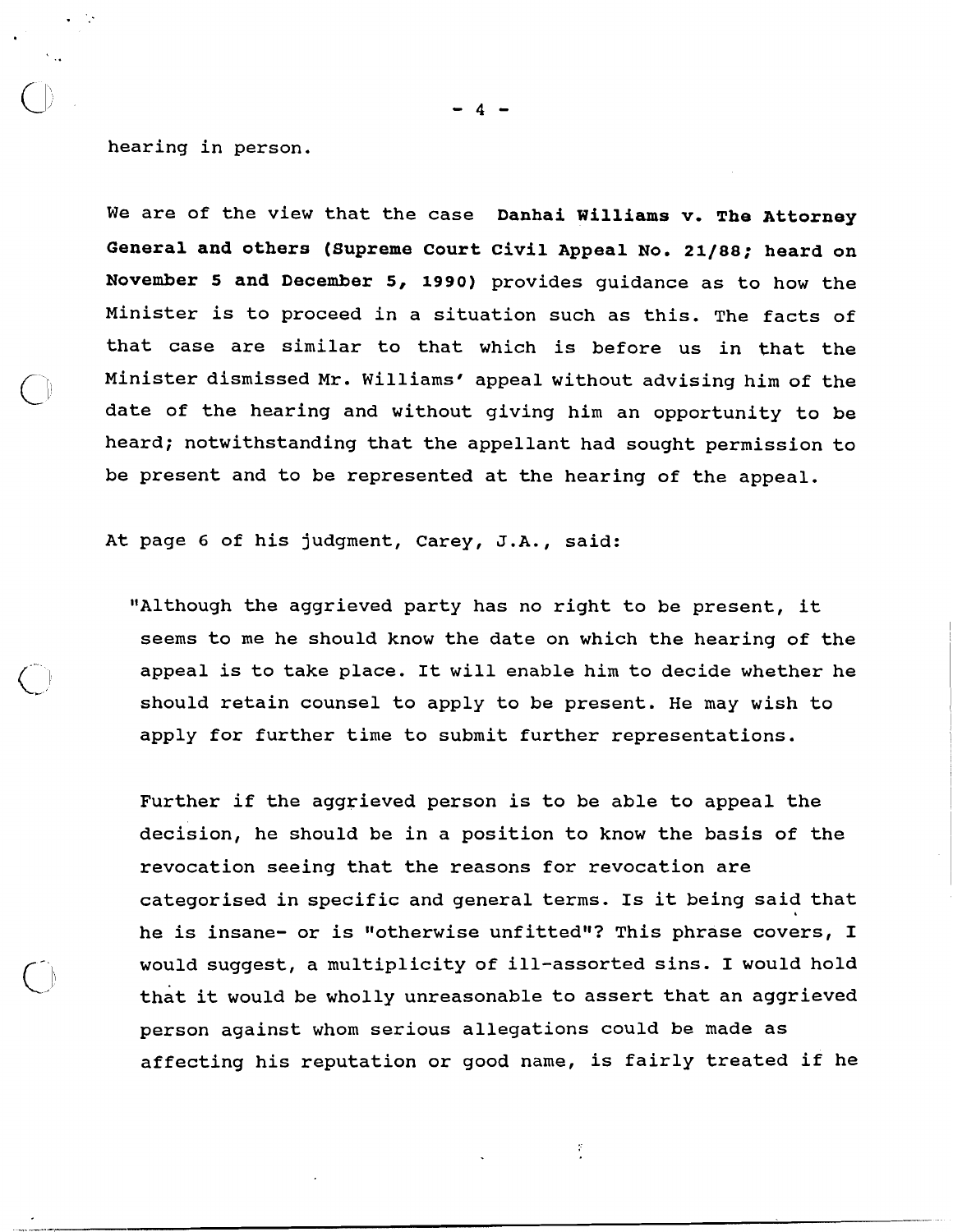hearing in person.

We are of the view that the case **Danhai Williams v. The Attorney General and others (Supreme court Civil Appeal No. 21/88; heard on November 5 and December 5, 1990)** provides guidance as to how the Minister is to proceed in a situation such as this. The facts of that case are similar to that which is before us in that the Minister dismissed Mr. Williams' appeal without advising him of the date of the hearing and without giving him an opportunity to be heard; notwithstanding that the appellant had sought permission to be present and to be represented at the hearing of the appeal.

At page 6 of his judgment, Carey, J.A., said:

"Although the aggrieved party has no right to be present, it seems to me he should know the date on which the hearing of the appeal is to take place. It will enable him to decide whether he should retain counsel to apply to be present. He may wish to apply for further time to submit further representations.

Further if the aggrieved person is to be able to appeal the decision, he should be in a position to know the basis of the revocation seeing that the reasons for revocation are categorised in specific and general terms. Is it being said that he is insane- or is "otherwise unfitted"? This phrase covers, I would suggest, a multiplicity of ill-assorted sins. I would hold that it would be wholly unreasonable to assert that an aggrieved person against whom serious allegations could be made as affecting his reputation or good name, is fairly treated if he

 $\tilde{\gamma}$ 

 $\mathbf{A}$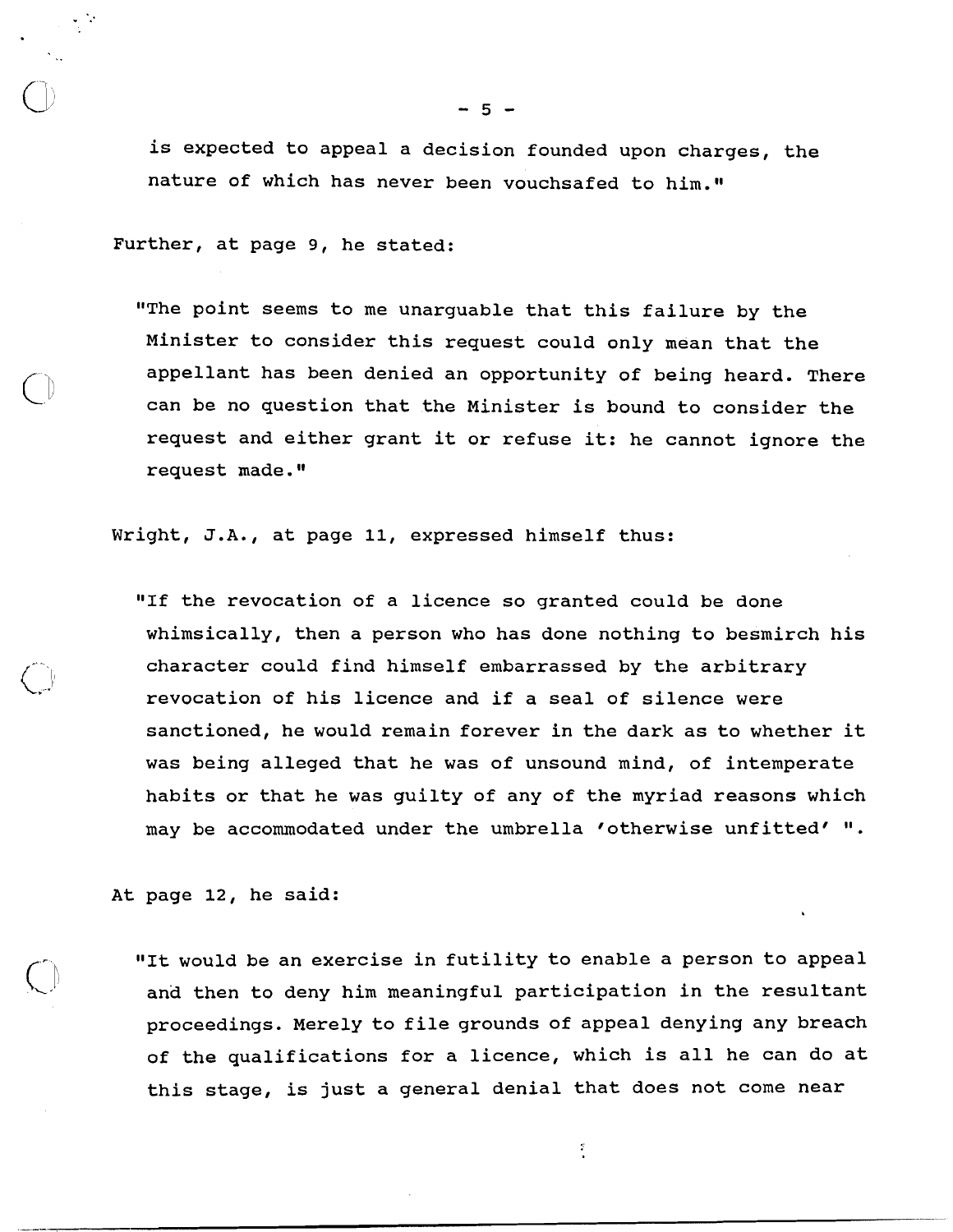is expected to appeal a decision founded upon charges, the nature of which has never been vouchsafed to him."

Further, at page **9,** he stated:

"The point seems to me unarguable that this failure by the Minister to consider this request could only mean that the appellant has been denied an opportunity of being heard. There can be no question that the Minister is bound to consider the request and either grant it or refuse it: he cannot ignore the request made."

Wright, J.A., at page 11, expressed himself thus:

"If the revocation of a licence so granted could be done whimsically, then a person who has done nothing to besmirch his character could find himself embarrassed by the arbitrary revocation of his licence and if a seal of silence were sanctioned, he would remain forever in the dark as to whether it was being alleged that he was of unsound mind, of intemperate habits or that he was guilty of any of the myriad reasons which may be accommodated under the umbrella 'otherwise unfitted' 'I.

At page 12, he said:

"It would be an exercise in futility to enable a person to appeal and then to deny him meaningful participation in the resultant proceedings. Merely to file grounds of appeal denying any breach of the qualifications for a licence, which is all he can do at this stage, is just a general denial that does not come near

ř.

- **5** -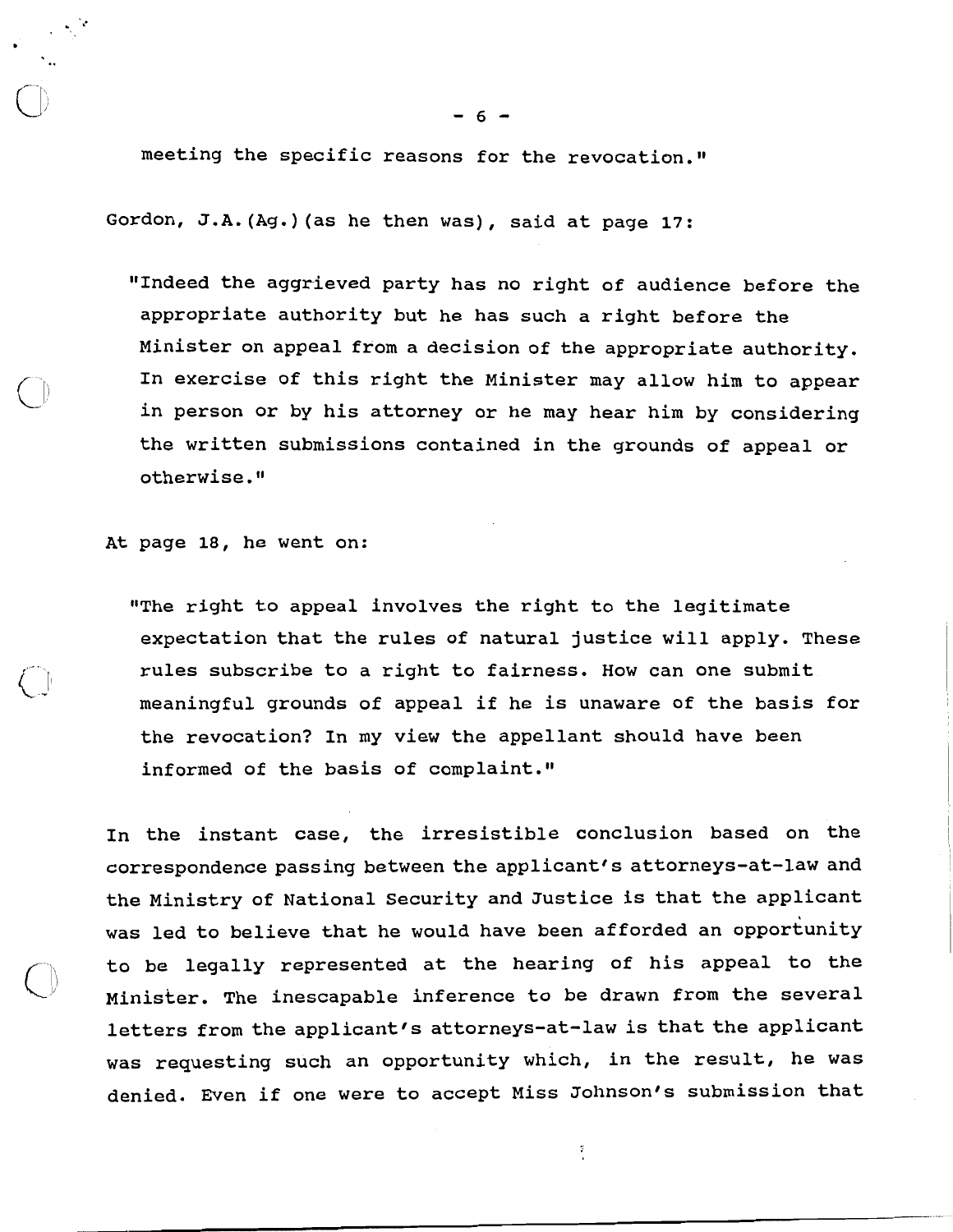meeting the specific reasons for the revocation."

Gordon, J.A. (Ag.) (as he then was), said at page 17:

"Indeed the aggrieved party has no right of audience before the appropriate authority but he has such a right before the Minister on appeal from a decision of the appropriate authority. In exercise of this right the Minister may allow him to appear in person or by his attorney or he may hear him by considering the written submissions contained in the grounds of appeal or otherwise.

At page 18, he went on:

"The right to appeal involves the right to the legitimate expectation that the rules of natural justice will apply. These rules subscribe to a right to fairness. How can one submit meaningful grounds of appeal if he is unaware of the basis for the revocation? In my view the appellant should have been informed of the basis of complaint."

In the instant case, the irresistible conclusion based on the correspondence passing between the applicant's attorneys-at-law and the Ministry of National Security and Justice is that the applicant was led to believe that he would have been afforded an opportunity to be legally represented at the hearing of his appeal to the whisker. The inescapable inference to be drawn from the several letters from the applicant's attorneys-at-law is that the applicant was requesting such an opportunity which, in the result, he was denied. Even if one were to accept Miss Johnson's submission that

Ŧ,

 $6 -$